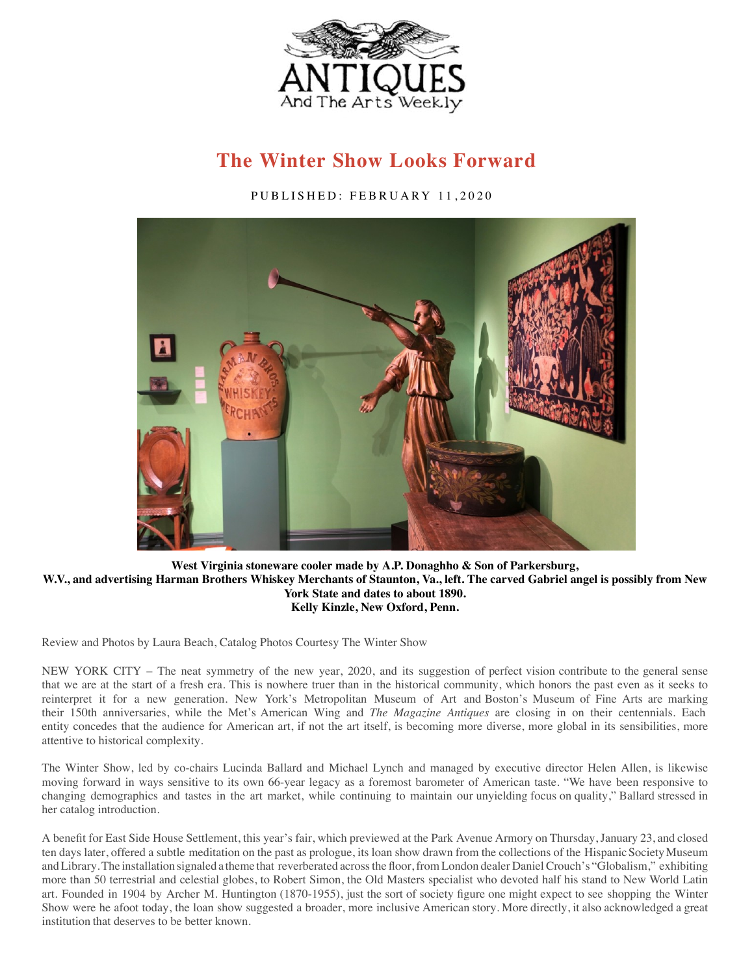

## **[The](https://getpocket.com/save?url=https%3A%2F%2Fwww.antiquesandthearts.com%2Fthe-winter-show-looks-forward%2F) [Winter](http://pinterest.com/pin/create/button/?url=https://www.antiquesandthearts.com/the-winter-show-looks-forward/&media=https://www.antiquesandthearts.com/wp-content/uploads/2020/02/Winter-Show-Thumb.jpg&description=The%20Winter%20Show%20Looks%20Forward%20-%20https://www.antiquesandthearts.com/the-winter-show-looks-forward/) [Show](https://www.linkedin.com/shareArticle?mini=true&url=https://www.antiquesandthearts.com/the-winter-show-looks-forward/&title=The%20Winter%20Show%20Looks%20Forward) [Looks](mailto:?subject=The%20Winter%20Show%20Looks%20Forward&body=Hey,%20checkout%20this%20great%20article:%20https://www.antiquesandthearts.com/the-winter-show-looks-forward/) Forward**

PUBLISHED: FEBRUAR[Y 1](https://www.antiquesandthearts.com/wp-content/uploads/2020/02/6f4a6851.jpg)1,2020



## **West Virginia stoneware cooler made by A.P. Donaghho & Son of Parkersburg, W.V., and advertising Harman Brothers Whiskey Merchants of Staunton, Va., left. The carved Gabriel angel is possibly from New York State and dates to about 1890. Kelly Kinzle, New Oxford, Penn.**

Review and Photos by Laura Beach, Catalog Photos Courtesy The Winter Show

NEW YORK CITY – The neat symmetry of the new year, 2020, and its suggestion of perfect vision contribute to the general sense that we are at the start of a fresh era. This is nowhere truer than in the historical community, which honors the past even as it seeks to reinterpret it for a new generation. New York's Metropolitan Museum of Art and Boston's Museum of Fine Arts are marking their 150th anniversaries, while the Met's American Wing and *The Magazine Antiques* are closing in on their centennials. Each entity concedes that the audience for American art, if not the art itself, is becoming more diverse, more global in its sensibilities, more attentive to historical complexity.

The Winter Show, led by co-chairs Lucinda Ballard and Michael Lynch and managed by executive director Helen Allen, is likewise moving forward in ways sensitive to its own 66-year legacy as a foremost barometer of American taste. "We have been responsive to changing demographics and tastes in the art market, while continuing to maintain our unyielding focus on quality," Ballard stressed in her catalog introduction.

A benefit for East Side House Settlement, this year's fair, which previewed at the Park Avenue Armory on Thursday, January 23, and closed ten days later, offered a subtle meditation on the past as prologue, its loan show drawn from the collections of the Hispanic Society Museum and Library. The installation signaled a theme that reverberated across the floor, from London dealer Daniel Crouch's "Globalism," exhibiting more than 50 terrestrial and celestial globes, to Robert Simon, the Old Masters specialist who devoted half his stand to New World Latin art. Founded in 1904 by Archer M. Huntington (1870-1955), just the sort of society figure one might expect to see shopping the Winter Show were he afoot today, the loan show suggested a broader, more inclusive American story. More directly, it also acknowledged a great institution that deserves to be better known.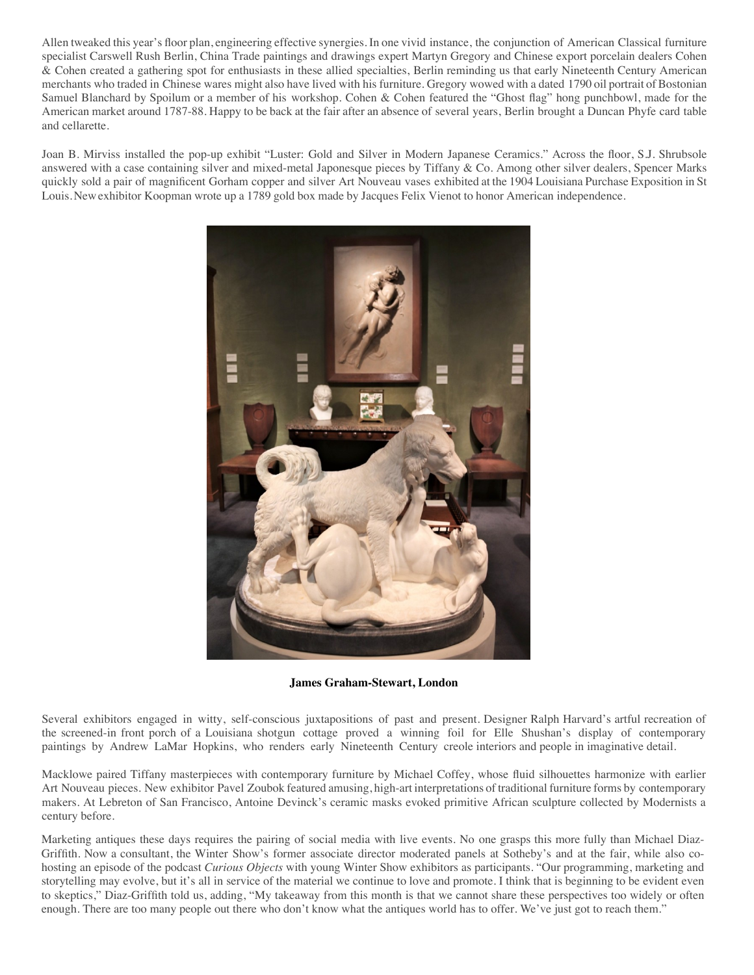Allen tweaked this year's floor plan, engineering effective synergies. In one vivid instance, the conjunction of American Classical furniture specialist Carswell Rush Berlin, China Trade paintings and drawings expert Martyn Gregory and Chinese export porcelain dealers Cohen & Cohen created a gathering spot for enthusiasts in these allied specialties, Berlin reminding us that early Nineteenth Century American merchants who traded in Chinese wares might also have lived with his furniture. Gregory wowed with a dated 1790 oil portrait of Bostonian Samuel Blanchard by Spoilum or a member of his workshop. Cohen & Cohen featured the "Ghost flag" hong punchbowl, made for the American market around 1787-88. Happy to be back at the fair after an absence of several years, Berlin brought a Duncan Phyfe card table and cellarette.

Joan B. Mirviss installed the pop-up exhibit "Luster: Gold and Silver in Modern Japanese Ceramics." Across the floor, S.J. Shrubsole answered with a case containing silver and mixed-metal Japonesque pieces by Tiffany & Co. Among other silver dealers, Spencer Marks quickly sold a pair of magnificent Gorham copper and silver Art Nouveau vases exhibited at the 1904 Louisiana Purchase Exposition in St Louis. New exhibitor Koopman wrote up a 1789 gold box made by Jacques Felix Vienot to honor American independence.



**James Graham-Stewart, London**

Several ex[hibitors engaged in witty, self-conscious juxtapositions of past a](https://www.antiquesandthearts.com/wp-content/uploads/2020/02/img_0727.jpg)nd present. Designer Ralph Harvard's artful recreation of the screened-in front porch of a Louisiana shotgun cottage proved a winning foil for Elle Shushan's display of contemporary paintings by Andrew LaMar Hopkins, who renders early Nineteenth Century creole interiors and people in imaginative detail.

Macklowe paired Tiffany masterpieces with contemporary furniture by Michael Coffey, whose fluid silhouettes harmonize with earlier Art Nouveau pieces. New exhibitor Pavel Zoubok featured amusing, high-art interpretations of traditional furniture forms by contemporary makers. At Lebreton of San Francisco, Antoine Devinck's ceramic masks evoked primitive African sculpture collected by Modernists a century before.

Marketing antiques these days requires the pairing of social media with live events. No one grasps this more fully than Michael Diaz-Griffith. Now a consultant, the Winter Show's former associate director moderated panels at Sotheby's and at the fair, while also cohosting an episode of the podcast *Curious Objects* with young Winter Show exhibitors as participants. "Our programming, marketing and storytelling may evolve, but it's all in service of the material we continue to love and promote. I think that is beginning to be evident even to skeptics," Diaz-Griffith told us, adding, "My takeaway from this month is that we cannot share these perspectives too widely or often enough. There are too many people out there who don't know what the antiques world has to offer. We've just got to reach them."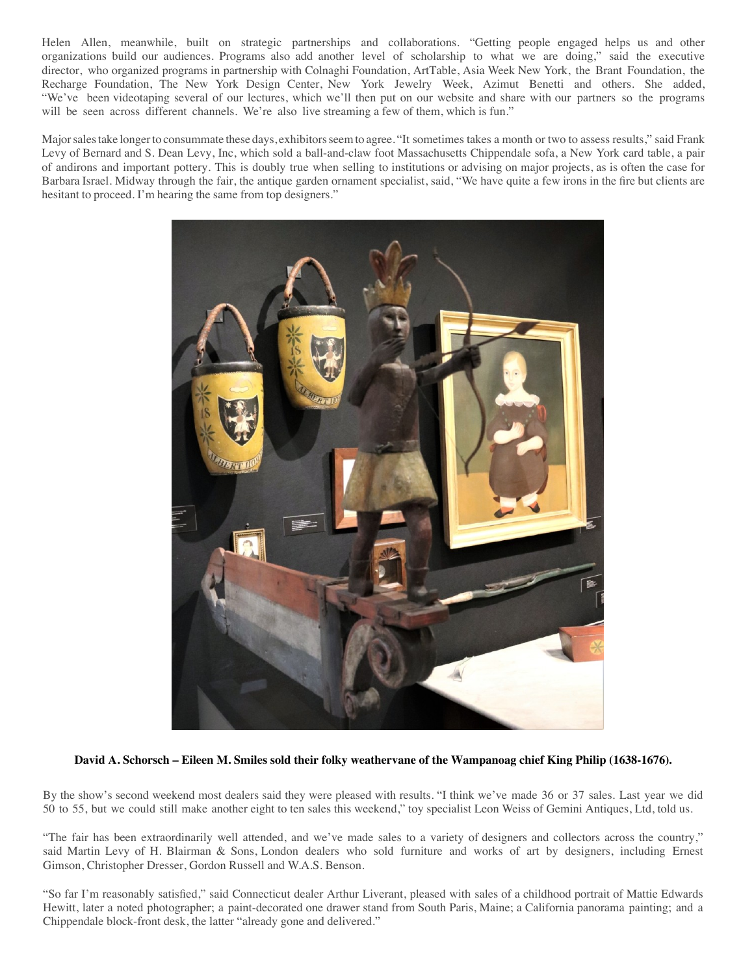Helen Allen, meanwhile, built on strategic partnerships and collaborations. "Getting people engaged helps us and other organizations build our audiences. Programs also add another level of scholarship to what we are doing," said the executive director, who organized programs in partnership with Colnaghi Foundation, ArtTable, Asia Week New York, the Brant Foundation, the Recharge Foundation, The New York Design Center, New York Jewelry Week, Azimut Benetti and others. She added, "We've been videotaping several of our lectures, which we'll then put on our website and share with our partners so the programs will be seen across different channels. We're also live streaming a few of them, which is fun."

Major sales take longer to consummate these days, exhibitors seem to agree. "It sometimes takes a month or two to assess results," said Frank Levy of Bernard and S. Dean Levy, Inc, which sold a ball-and-claw foot Massachusetts Chippendale sofa, a New York card table, a pair of andirons and important pottery. This is doubly true when selling to institutions or advising on major projects, as is often the case for Barbara Israel. Midway through the fair, the antique garden ornament specialist, said, "We have quite a few irons in the fire but clients are hesitant to proceed. I'm hearing the same from top designers."



## **David A. Schorsch – Eileen M. Smiles sold their folky weathervane of the Wampanoag chief King Philip (1638-1676).**

By the show's second weekend most dealers said they were pleased with results. "I think we've made 36 or 37 sales. Last year we did 50 to 55, but we could still make another eight to ten sales this weekend," toy specialist Leon Weiss of Gemini Antiques, Ltd, told us.

"The fair has been extraordinarily well attended, and we've made sales to a variety of designers and collectors across the country," said Martin Levy of H. Blairman & Sons, London dealers who sold furniture and works of art by designers, including Ernest Gimson, Christopher Dresser, Gordon Russell and W.A.S. Benson.

"So far I'm reasonably satisfied," said Connecticut dealer Arthur Liverant, pleased with sales of a childhood portrait of Mattie Edwards Hewitt, later a noted photographer; a paint-decorated one drawer stand from South Paris, Maine; a California panorama painting; and a Chippendale block-front desk, the latter "already gone and delivered."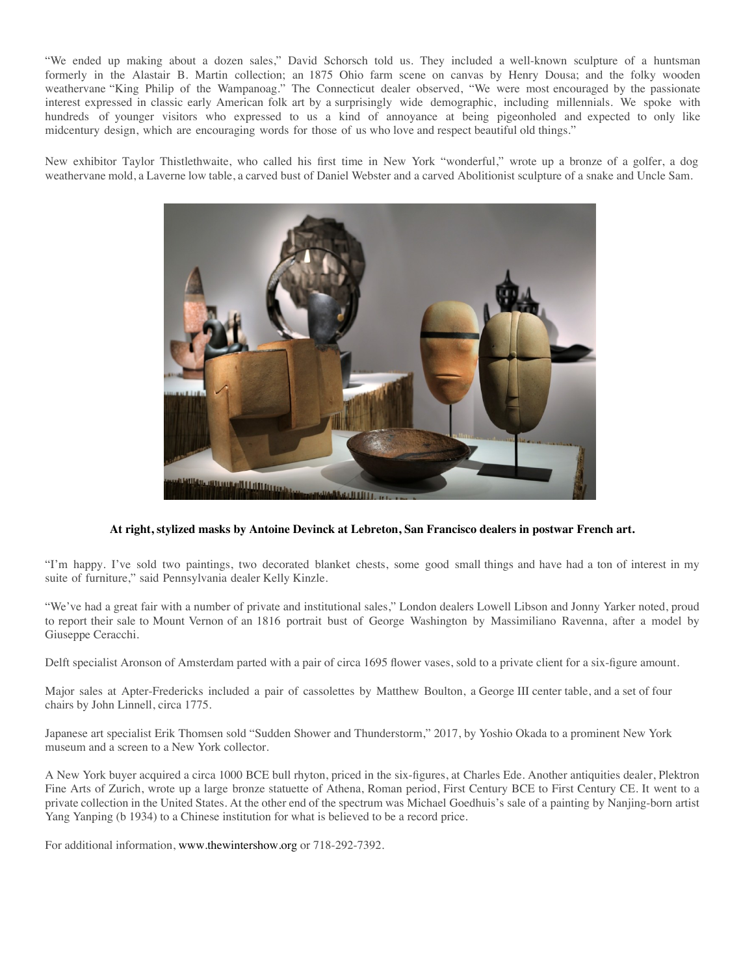["We ended up making about a dozen sales," David Schorsch told us. They inclu](https://www.antiquesandthearts.com/wp-content/uploads/2020/02/img_0579.jpg)ded a well-known sculpture of a huntsman formerly in the Alastair B. Martin collection; an 1875 Ohio farm scene on canvas by Henry Dousa; and the folky wooden weathervane "King Philip of the Wampanoag." The Connecticut dealer observed, "We were most encouraged by the passionate interest expressed in classic early American folk art by a surprisingly wide demographic, including millennials. We spoke with hundreds of younger visitors who expressed to us a kind of annoyance at being pigeonholed and expected to only like midcentury design, which are encouraging words for those of us who love and respect beautiful old things."

New exhibitor Taylor Thistlethwaite, who called his first time in New York "wonderful," wrote up a bronze of a golfer, a dog weathervane mold, a Laverne low table, a carved bust of Daniel Webster and a carved Abolitionist sculpture of a snake and Uncle Sam.



## **At right, stylized masks by Antoine Devinck at Lebreton, San Francisco dealers in postwar French art.**

"I'm happy. I've sold two paintings, two decorated blanket chests, some good small things and have had a ton of interest in my suite of furniture," said Pennsylvania dealer Kelly Kinzle.

"We've had a great fair with a number of private and institutional sales," London dealers Lowell Libson and Jonny Yarker noted, proud to report their sale to Mount Vernon of an 1816 portrait bust of George Washington by Massimiliano Ravenna, after a model by Giuseppe Ceracchi.

Delft specialist Aronson of Amsterdam parted with a pair of circa 1695 flower vases, sold to a private client for a six-figure amount.

Major sales at Apter-Fredericks included a pair of cassolettes by Matthew Boulton, a George III center table, and a set of four chairs by John Linnell, circa 1775.

Japanese art specialist Erik Thomsen sold "Sudden Shower and Thunderstorm," 2017, by Yoshio Okada to a prominent New York museum and a screen to a New York collector.

A New York buyer acquired a circa 1000 BCE bull rhyton, priced in the six-figures, at Charles Ede. Another antiquities dealer, Plektron Fine Arts of Zurich, wrote up a large bronze statuette of Athena, Roman period, First Century BCE to First Century CE. It went to a private collection in the United States. At the other end of the spectrum was Michael Goedhuis's sale of a painting by Nanjing-born artist Yang Yanping (b 1934) to a Chinese institution for what is believed to be a record price.

For additional information, www.thewintershow.org or 718-292-7392.